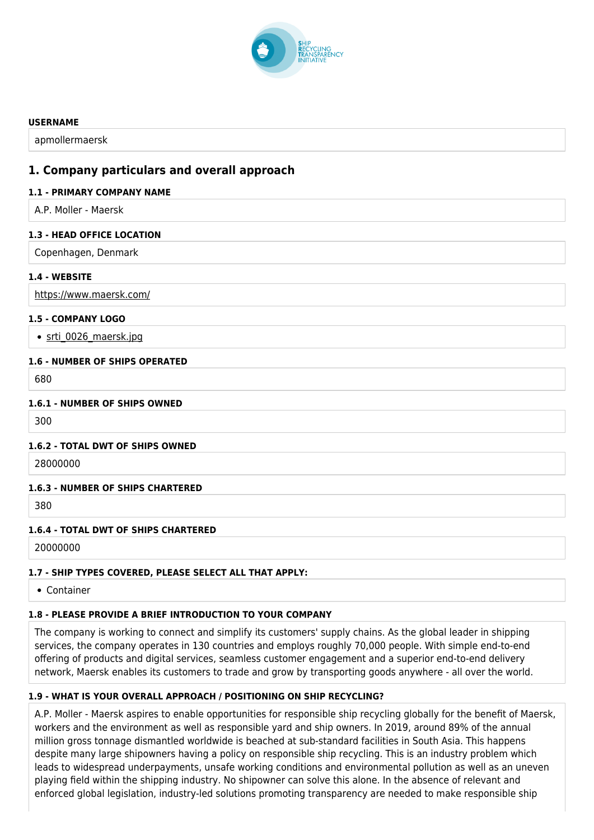

#### **USERNAME**

apmollermaersk

# **1. Company particulars and overall approach**

#### **1.1 - PRIMARY COMPANY NAME**

A.P. Moller - Maersk

#### **1.3 - HEAD OFFICE LOCATION**

Copenhagen, Denmark

#### **1.4 - WEBSITE**

<https://www.maersk.com/>

#### **1.5 - COMPANY LOGO**

• [srti\\_0026\\_maersk.jpg](http://www.shiprecyclingtransparency.org/wp-content/uploads/gravity_forms/1-90ab26b4ee552bd8919070d84c2cb61a/2020/10/srti_0026_maersk.jpg)

#### **1.6 - NUMBER OF SHIPS OPERATED**

680

#### **1.6.1 - NUMBER OF SHIPS OWNED**

300

#### **1.6.2 - TOTAL DWT OF SHIPS OWNED**

28000000

#### **1.6.3 - NUMBER OF SHIPS CHARTERED**

380

#### **1.6.4 - TOTAL DWT OF SHIPS CHARTERED**

20000000

#### **1.7 - SHIP TYPES COVERED, PLEASE SELECT ALL THAT APPLY:**

Container

# **1.8 - PLEASE PROVIDE A BRIEF INTRODUCTION TO YOUR COMPANY**

The company is working to connect and simplify its customers' supply chains. As the global leader in shipping services, the company operates in 130 countries and employs roughly 70,000 people. With simple end-to-end offering of products and digital services, seamless customer engagement and a superior end-to-end delivery network, Maersk enables its customers to trade and grow by transporting goods anywhere - all over the world.

# **1.9 - WHAT IS YOUR OVERALL APPROACH / POSITIONING ON SHIP RECYCLING?**

A.P. Moller - Maersk aspires to enable opportunities for responsible ship recycling globally for the benefit of Maersk, workers and the environment as well as responsible yard and ship owners. In 2019, around 89% of the annual million gross tonnage dismantled worldwide is beached at sub-standard facilities in South Asia. This happens despite many large shipowners having a policy on responsible ship recycling. This is an industry problem which leads to widespread underpayments, unsafe working conditions and environmental pollution as well as an uneven playing field within the shipping industry. No shipowner can solve this alone. In the absence of relevant and enforced global legislation, industry-led solutions promoting transparency are needed to make responsible ship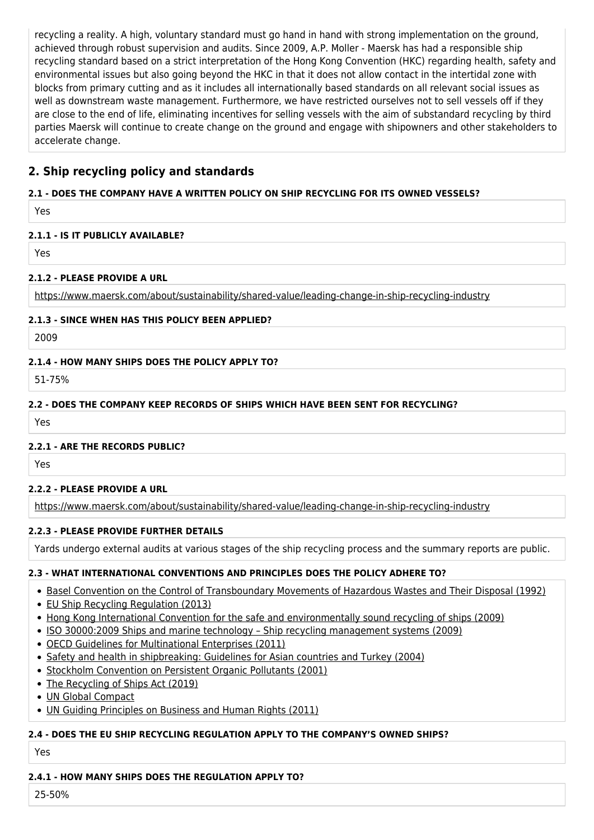recycling a reality. A high, voluntary standard must go hand in hand with strong implementation on the ground, achieved through robust supervision and audits. Since 2009, A.P. Moller - Maersk has had a responsible ship recycling standard based on a strict interpretation of the Hong Kong Convention (HKC) regarding health, safety and environmental issues but also going beyond the HKC in that it does not allow contact in the intertidal zone with blocks from primary cutting and as it includes all internationally based standards on all relevant social issues as well as downstream waste management. Furthermore, we have restricted ourselves not to sell vessels off if they are close to the end of life, eliminating incentives for selling vessels with the aim of substandard recycling by third parties Maersk will continue to create change on the ground and engage with shipowners and other stakeholders to accelerate change.

# **2. Ship recycling policy and standards**

# **2.1 - DOES THE COMPANY HAVE A WRITTEN POLICY ON SHIP RECYCLING FOR ITS OWNED VESSELS?**

Yes

# **2.1.1 - IS IT PUBLICLY AVAILABLE?**

Yes

# **2.1.2 - PLEASE PROVIDE A URL**

<https://www.maersk.com/about/sustainability/shared-value/leading-change-in-ship-recycling-industry>

# **2.1.3 - SINCE WHEN HAS THIS POLICY BEEN APPLIED?**

2009

# **2.1.4 - HOW MANY SHIPS DOES THE POLICY APPLY TO?**

51-75%

# **2.2 - DOES THE COMPANY KEEP RECORDS OF SHIPS WHICH HAVE BEEN SENT FOR RECYCLING?**

Yes

# **2.2.1 - ARE THE RECORDS PUBLIC?**

Yes

# **2.2.2 - PLEASE PROVIDE A URL**

<https://www.maersk.com/about/sustainability/shared-value/leading-change-in-ship-recycling-industry>

# **2.2.3 - PLEASE PROVIDE FURTHER DETAILS**

Yards undergo external audits at various stages of the ship recycling process and the summary reports are public.

# **2.3 - WHAT INTERNATIONAL CONVENTIONS AND PRINCIPLES DOES THE POLICY ADHERE TO?**

- **[Basel Convention on the Control of Transboundary Movements of Hazardous Wastes and Their Disposal \(1992\)](http://www.basel.int/TheConvention/Overview/TextoftheConvention/tabid/1275/Default.aspx)**
- [EU Ship Recycling Regulation \(2013\)](https://ec.europa.eu/environment/waste/ships/)
- [Hong Kong International Convention for the safe and environmentally sound recycling of ships \(2009\)](http://www.imo.org/en/OurWork/Environment/ShipRecycling/Pages/Default.aspx)
- [ISO 30000:2009 Ships and marine technology Ship recycling management systems \(2009\)](https://www.iso.org/standard/51244.html)
- [OECD Guidelines for Multinational Enterprises \(2011\)](http://mneguidelines.oecd.org/mneguidelines/)
- [Safety and health in shipbreaking: Guidelines for Asian countries and Turkey \(2004\)](https://www.ilo.org/safework/info/standards-and-instruments/codes/WCMS_107689/lang--en/index.htm)
- [Stockholm Convention on Persistent Organic Pollutants \(2001\)](http://www.pops.int/TheConvention/Overview/tabid/3351/Default.aspx)
- [The Recycling of Ships Act \(2019\)](http://egazette.nic.in/WriteReadData/2019/214694.pdf)
- [UN Global Compact](https://www.unglobalcompact.org/what-is-gc/mission/principles)
- [UN Guiding Principles on Business and Human Rights \(2011\)](https://www.ohchr.org/documents/publications/guidingprinciplesbusinesshr_en.pdf)

# **2.4 - DOES THE EU SHIP RECYCLING REGULATION APPLY TO THE COMPANY'S OWNED SHIPS?**

Yes

# **2.4.1 - HOW MANY SHIPS DOES THE REGULATION APPLY TO?**

25-50%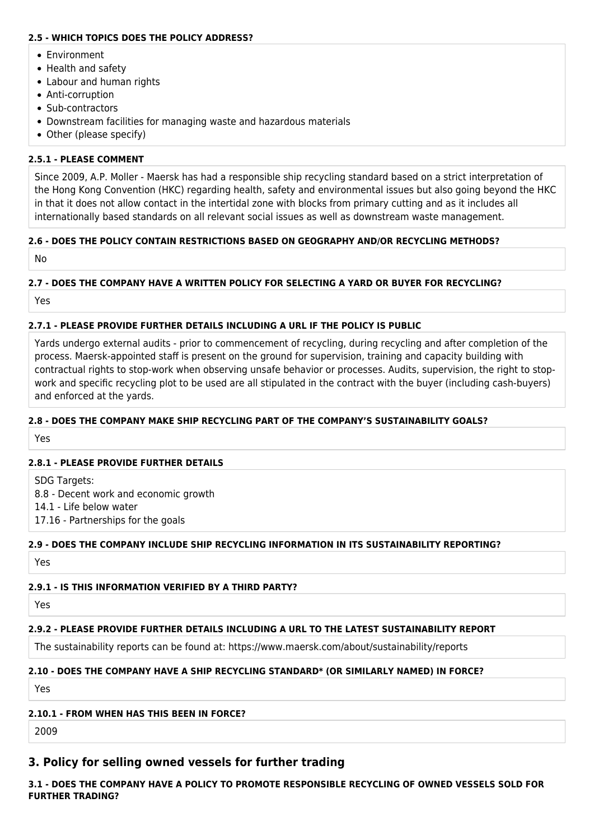### **2.5 - WHICH TOPICS DOES THE POLICY ADDRESS?**

- Environment
- Health and safety
- Labour and human rights
- Anti-corruption
- Sub-contractors
- Downstream facilities for managing waste and hazardous materials
- Other (please specify)

# **2.5.1 - PLEASE COMMENT**

Since 2009, A.P. Moller - Maersk has had a responsible ship recycling standard based on a strict interpretation of the Hong Kong Convention (HKC) regarding health, safety and environmental issues but also going beyond the HKC in that it does not allow contact in the intertidal zone with blocks from primary cutting and as it includes all internationally based standards on all relevant social issues as well as downstream waste management.

# **2.6 - DOES THE POLICY CONTAIN RESTRICTIONS BASED ON GEOGRAPHY AND/OR RECYCLING METHODS?**

No

### **2.7 - DOES THE COMPANY HAVE A WRITTEN POLICY FOR SELECTING A YARD OR BUYER FOR RECYCLING?**

Yes

### **2.7.1 - PLEASE PROVIDE FURTHER DETAILS INCLUDING A URL IF THE POLICY IS PUBLIC**

Yards undergo external audits - prior to commencement of recycling, during recycling and after completion of the process. Maersk-appointed staff is present on the ground for supervision, training and capacity building with contractual rights to stop-work when observing unsafe behavior or processes. Audits, supervision, the right to stopwork and specific recycling plot to be used are all stipulated in the contract with the buyer (including cash-buyers) and enforced at the yards.

### **2.8 - DOES THE COMPANY MAKE SHIP RECYCLING PART OF THE COMPANY'S SUSTAINABILITY GOALS?**

Yes

#### **2.8.1 - PLEASE PROVIDE FURTHER DETAILS**

SDG Targets: 8.8 - Decent work and economic growth 14.1 - Life below water 17.16 - Partnerships for the goals

# **2.9 - DOES THE COMPANY INCLUDE SHIP RECYCLING INFORMATION IN ITS SUSTAINABILITY REPORTING?**

Yes

# **2.9.1 - IS THIS INFORMATION VERIFIED BY A THIRD PARTY?**

Yes

# **2.9.2 - PLEASE PROVIDE FURTHER DETAILS INCLUDING A URL TO THE LATEST SUSTAINABILITY REPORT**

The sustainability reports can be found at: https://www.maersk.com/about/sustainability/reports

# **2.10 - DOES THE COMPANY HAVE A SHIP RECYCLING STANDARD\* (OR SIMILARLY NAMED) IN FORCE?**

Yes

# **2.10.1 - FROM WHEN HAS THIS BEEN IN FORCE?**

2009

# **3. Policy for selling owned vessels for further trading**

**3.1 - DOES THE COMPANY HAVE A POLICY TO PROMOTE RESPONSIBLE RECYCLING OF OWNED VESSELS SOLD FOR FURTHER TRADING?**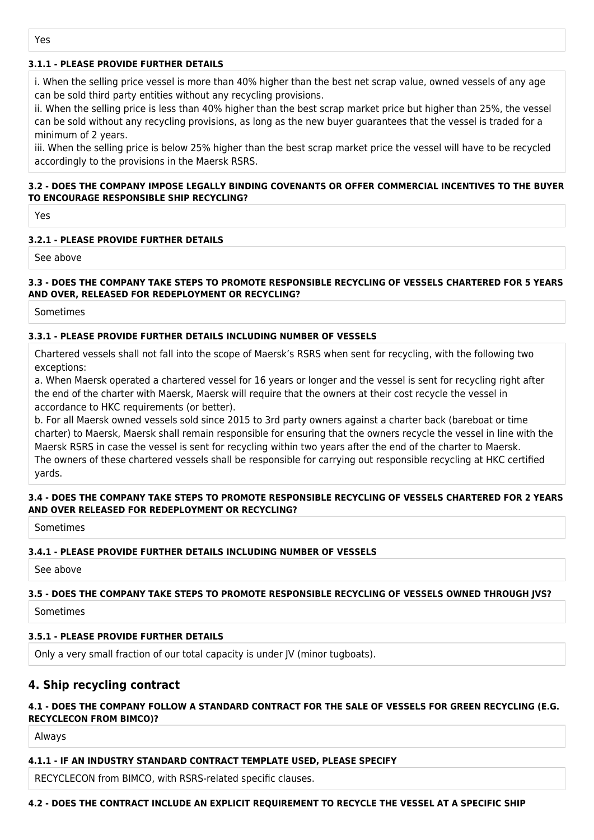### **3.1.1 - PLEASE PROVIDE FURTHER DETAILS**

i. When the selling price vessel is more than 40% higher than the best net scrap value, owned vessels of any age can be sold third party entities without any recycling provisions.

ii. When the selling price is less than 40% higher than the best scrap market price but higher than 25%, the vessel can be sold without any recycling provisions, as long as the new buyer guarantees that the vessel is traded for a minimum of 2 years.

iii. When the selling price is below 25% higher than the best scrap market price the vessel will have to be recycled accordingly to the provisions in the Maersk RSRS.

#### **3.2 - DOES THE COMPANY IMPOSE LEGALLY BINDING COVENANTS OR OFFER COMMERCIAL INCENTIVES TO THE BUYER TO ENCOURAGE RESPONSIBLE SHIP RECYCLING?**

Yes

#### **3.2.1 - PLEASE PROVIDE FURTHER DETAILS**

See above

#### **3.3 - DOES THE COMPANY TAKE STEPS TO PROMOTE RESPONSIBLE RECYCLING OF VESSELS CHARTERED FOR 5 YEARS AND OVER, RELEASED FOR REDEPLOYMENT OR RECYCLING?**

Sometimes

#### **3.3.1 - PLEASE PROVIDE FURTHER DETAILS INCLUDING NUMBER OF VESSELS**

Chartered vessels shall not fall into the scope of Maersk's RSRS when sent for recycling, with the following two exceptions:

a. When Maersk operated a chartered vessel for 16 years or longer and the vessel is sent for recycling right after the end of the charter with Maersk, Maersk will require that the owners at their cost recycle the vessel in accordance to HKC requirements (or better).

b. For all Maersk owned vessels sold since 2015 to 3rd party owners against a charter back (bareboat or time charter) to Maersk, Maersk shall remain responsible for ensuring that the owners recycle the vessel in line with the Maersk RSRS in case the vessel is sent for recycling within two years after the end of the charter to Maersk. The owners of these chartered vessels shall be responsible for carrying out responsible recycling at HKC certified yards.

#### **3.4 - DOES THE COMPANY TAKE STEPS TO PROMOTE RESPONSIBLE RECYCLING OF VESSELS CHARTERED FOR 2 YEARS AND OVER RELEASED FOR REDEPLOYMENT OR RECYCLING?**

Sometimes

#### **3.4.1 - PLEASE PROVIDE FURTHER DETAILS INCLUDING NUMBER OF VESSELS**

See above

#### **3.5 - DOES THE COMPANY TAKE STEPS TO PROMOTE RESPONSIBLE RECYCLING OF VESSELS OWNED THROUGH JVS?**

Sometimes

#### **3.5.1 - PLEASE PROVIDE FURTHER DETAILS**

Only a very small fraction of our total capacity is under JV (minor tugboats).

# **4. Ship recycling contract**

#### **4.1 - DOES THE COMPANY FOLLOW A STANDARD CONTRACT FOR THE SALE OF VESSELS FOR GREEN RECYCLING (E.G. RECYCLECON FROM BIMCO)?**

Always

#### **4.1.1 - IF AN INDUSTRY STANDARD CONTRACT TEMPLATE USED, PLEASE SPECIFY**

RECYCLECON from BIMCO, with RSRS-related specific clauses.

#### **4.2 - DOES THE CONTRACT INCLUDE AN EXPLICIT REQUIREMENT TO RECYCLE THE VESSEL AT A SPECIFIC SHIP**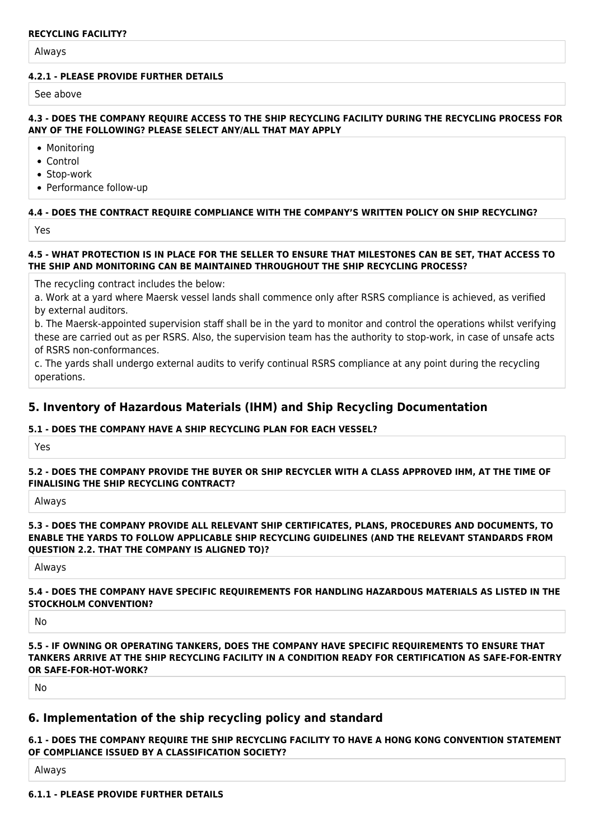#### **RECYCLING FACILITY?**

Always

#### **4.2.1 - PLEASE PROVIDE FURTHER DETAILS**

See above

#### **4.3 - DOES THE COMPANY REQUIRE ACCESS TO THE SHIP RECYCLING FACILITY DURING THE RECYCLING PROCESS FOR ANY OF THE FOLLOWING? PLEASE SELECT ANY/ALL THAT MAY APPLY**

• Monitoring

- Control
- Stop-work
- Performance follow-up

#### **4.4 - DOES THE CONTRACT REQUIRE COMPLIANCE WITH THE COMPANY'S WRITTEN POLICY ON SHIP RECYCLING?**

Yes

#### **4.5 - WHAT PROTECTION IS IN PLACE FOR THE SELLER TO ENSURE THAT MILESTONES CAN BE SET, THAT ACCESS TO THE SHIP AND MONITORING CAN BE MAINTAINED THROUGHOUT THE SHIP RECYCLING PROCESS?**

The recycling contract includes the below:

a. Work at a yard where Maersk vessel lands shall commence only after RSRS compliance is achieved, as verified by external auditors.

b. The Maersk-appointed supervision staff shall be in the yard to monitor and control the operations whilst verifying these are carried out as per RSRS. Also, the supervision team has the authority to stop-work, in case of unsafe acts of RSRS non-conformances.

c. The yards shall undergo external audits to verify continual RSRS compliance at any point during the recycling operations.

# **5. Inventory of Hazardous Materials (IHM) and Ship Recycling Documentation**

#### **5.1 - DOES THE COMPANY HAVE A SHIP RECYCLING PLAN FOR EACH VESSEL?**

Yes

**5.2 - DOES THE COMPANY PROVIDE THE BUYER OR SHIP RECYCLER WITH A CLASS APPROVED IHM, AT THE TIME OF FINALISING THE SHIP RECYCLING CONTRACT?**

Always

**5.3 - DOES THE COMPANY PROVIDE ALL RELEVANT SHIP CERTIFICATES, PLANS, PROCEDURES AND DOCUMENTS, TO ENABLE THE YARDS TO FOLLOW APPLICABLE SHIP RECYCLING GUIDELINES (AND THE RELEVANT STANDARDS FROM QUESTION 2.2. THAT THE COMPANY IS ALIGNED TO)?**

Always

#### **5.4 - DOES THE COMPANY HAVE SPECIFIC REQUIREMENTS FOR HANDLING HAZARDOUS MATERIALS AS LISTED IN THE STOCKHOLM CONVENTION?**

No

**5.5 - IF OWNING OR OPERATING TANKERS, DOES THE COMPANY HAVE SPECIFIC REQUIREMENTS TO ENSURE THAT TANKERS ARRIVE AT THE SHIP RECYCLING FACILITY IN A CONDITION READY FOR CERTIFICATION AS SAFE-FOR-ENTRY OR SAFE-FOR-HOT-WORK?**

No

# **6. Implementation of the ship recycling policy and standard**

#### **6.1 - DOES THE COMPANY REQUIRE THE SHIP RECYCLING FACILITY TO HAVE A HONG KONG CONVENTION STATEMENT OF COMPLIANCE ISSUED BY A CLASSIFICATION SOCIETY?**

Always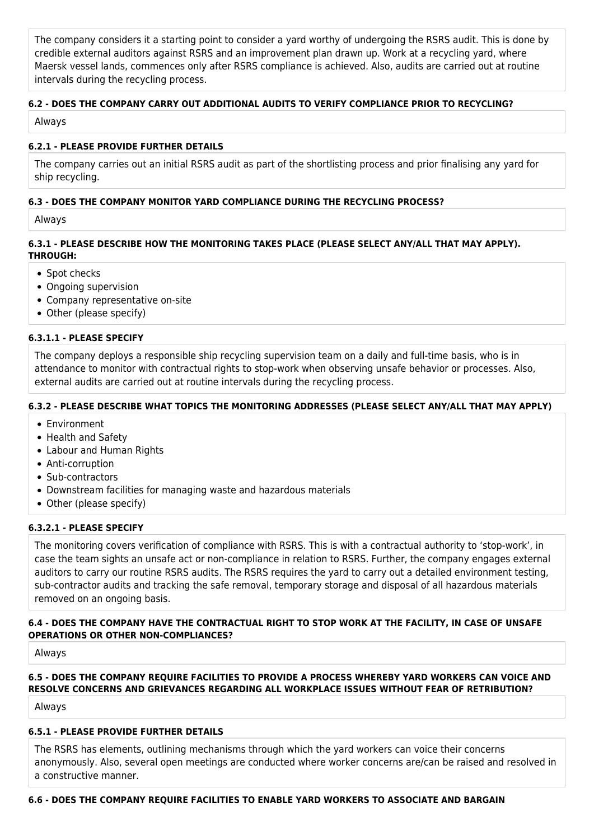The company considers it a starting point to consider a yard worthy of undergoing the RSRS audit. This is done by credible external auditors against RSRS and an improvement plan drawn up. Work at a recycling yard, where Maersk vessel lands, commences only after RSRS compliance is achieved. Also, audits are carried out at routine intervals during the recycling process.

# **6.2 - DOES THE COMPANY CARRY OUT ADDITIONAL AUDITS TO VERIFY COMPLIANCE PRIOR TO RECYCLING?**

Always

### **6.2.1 - PLEASE PROVIDE FURTHER DETAILS**

The company carries out an initial RSRS audit as part of the shortlisting process and prior finalising any yard for ship recycling.

### **6.3 - DOES THE COMPANY MONITOR YARD COMPLIANCE DURING THE RECYCLING PROCESS?**

Always

### **6.3.1 - PLEASE DESCRIBE HOW THE MONITORING TAKES PLACE (PLEASE SELECT ANY/ALL THAT MAY APPLY). THROUGH:**

- Spot checks
- Ongoing supervision
- Company representative on-site
- Other (please specify)

#### **6.3.1.1 - PLEASE SPECIFY**

The company deploys a responsible ship recycling supervision team on a daily and full-time basis, who is in attendance to monitor with contractual rights to stop-work when observing unsafe behavior or processes. Also, external audits are carried out at routine intervals during the recycling process.

### **6.3.2 - PLEASE DESCRIBE WHAT TOPICS THE MONITORING ADDRESSES (PLEASE SELECT ANY/ALL THAT MAY APPLY)**

- Environment
- Health and Safety
- Labour and Human Rights
- Anti-corruption
- Sub-contractors
- Downstream facilities for managing waste and hazardous materials
- Other (please specify)

#### **6.3.2.1 - PLEASE SPECIFY**

The monitoring covers verification of compliance with RSRS. This is with a contractual authority to 'stop-work', in case the team sights an unsafe act or non-compliance in relation to RSRS. Further, the company engages external auditors to carry our routine RSRS audits. The RSRS requires the yard to carry out a detailed environment testing, sub-contractor audits and tracking the safe removal, temporary storage and disposal of all hazardous materials removed on an ongoing basis.

#### **6.4 - DOES THE COMPANY HAVE THE CONTRACTUAL RIGHT TO STOP WORK AT THE FACILITY, IN CASE OF UNSAFE OPERATIONS OR OTHER NON-COMPLIANCES?**

Always

# **6.5 - DOES THE COMPANY REQUIRE FACILITIES TO PROVIDE A PROCESS WHEREBY YARD WORKERS CAN VOICE AND RESOLVE CONCERNS AND GRIEVANCES REGARDING ALL WORKPLACE ISSUES WITHOUT FEAR OF RETRIBUTION?**

Always

#### **6.5.1 - PLEASE PROVIDE FURTHER DETAILS**

The RSRS has elements, outlining mechanisms through which the yard workers can voice their concerns anonymously. Also, several open meetings are conducted where worker concerns are/can be raised and resolved in a constructive manner.

# **6.6 - DOES THE COMPANY REQUIRE FACILITIES TO ENABLE YARD WORKERS TO ASSOCIATE AND BARGAIN**